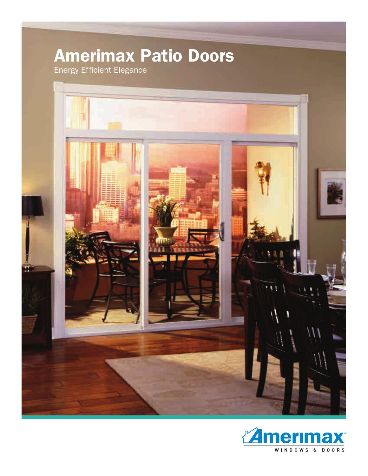# **Amerimax Patio Doors**

Energy Efficient Elegance



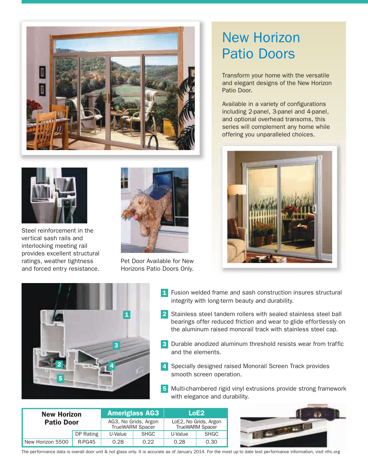

# New Horizon Patio Doors

Transform your home with the versatile and elegant designs of the New Horizon Patio Door.

Available in a variety of configurations including 2-panel, 3-panel and 4-panel, and optional overhead transoms, this series will complement any home while offering you unparalleled choices.





Steel reinforcement in the vertical sash rails and interlocking meeting rail provides excellent structural ratings, weather tightness and forced entry resistance.



Pet Door Available for New Horizons Patio Doors Only.



- **1** Fusion welded frame and sash construction insures structural integrity with long-term beauty and durability.
- 1 **1 2** Stainless steel tandem rollers with sealed stainless steel ball bearings offer reduced friction and wear to glide effortlessly on the aluminum raised monorail track with stainless steel cap.
	- Durable anodized aluminum threshold resists wear from traffic **3** and the elements.
	- 4 Specially designed raised Monorail Screen Track provides smooth screen operation.
	- Multi-chambered rigid vinyl extrusions provide strong framework **5** with elegance and durability.

| <b>New Horizon</b><br><b>Patio Door</b> |           | <b>Ameriglass AG3</b>                          |             | LoE2                                            |             |
|-----------------------------------------|-----------|------------------------------------------------|-------------|-------------------------------------------------|-------------|
|                                         |           | AG3, No Grids, Argon<br><b>TrueWARM Spacer</b> |             | LoE2, No Grids, Argon<br><b>TrueWARM Spacer</b> |             |
|                                         | DP Rating | U-Value                                        | <b>SHGC</b> | U-Value                                         | <b>SHGC</b> |
| New Horizon 5500                        | $R-PG45$  | 0.28                                           | 0.22        | 0.28                                            | 0.30        |



The performance data is overall door unit & not glass only. It is accurate as of January 2014. For the most up to date test performance information, visit nfrc.org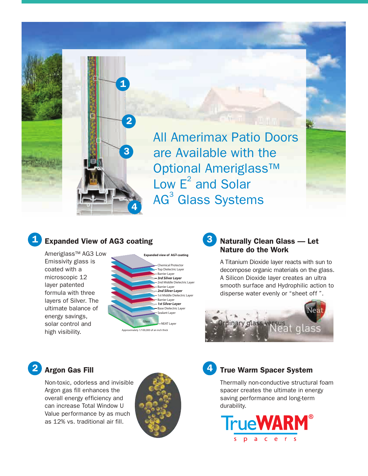



**1**

**2**

**3**

**4**

Ameriglass™ AG3 Low Emissivity glass is coated with a microscopic 12 layer patented formula with three layers of Silver. The ultimate balance of energy savings, solar control and high visibility.



#### **3 Naturally Clean Glass — Let Nature do the Work**

A Titanium Dioxide layer reacts with sun to decompose organic materials on the glass. A Silicon Dioxide layer creates an ultra smooth surface and Hydrophilic action to disperse water evenly or "sheet off ".



## **Argon Gas Fill**

**2**

Non-toxic, odorless and invisible Argon gas fill enhances the overall energy efficiency and can increase Total Window U Value performance by as much as 12% vs. traditional air fill.





### **True Warm Spacer System**

Thermally non-conductive structural foam spacer creates the ultimate in energy saving performance and long-term durability.

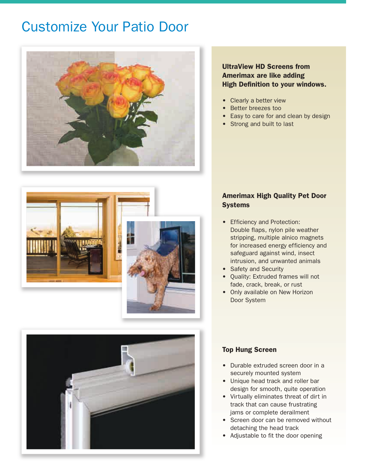# Customize Your Patio Door



### **UltraView HD Screens from Amerimax are like adding High Definition to your windows.**

- **•** Clearly a better view
- **•** Better breezes too
- **•** Easy to care for and clean by design
- **•** Strong and built to last





### **Amerimax High Quality Pet Door Systems**

- **•** Efficiency and Protection: Double flaps, nylon pile weather stripping, multiple alnico magnets for increased energy efficiency and safeguard against wind, insect intrusion, and unwanted animals
- **•** Safety and Security
- Quality: Extruded frames will not fade, crack, break, or rust
- Only available on New Horizon Door System

#### **Top Hung Screen**

- **•** Durable extruded screen door in a securely mounted system
- **•** Unique head track and roller bar design for smooth, quite operation
- **•** Virtually eliminates threat of dirt in track that can cause frustrating jams or complete derailment
- **•** Screen door can be removed without detaching the head track
- **•** Adjustable to fit the door opening